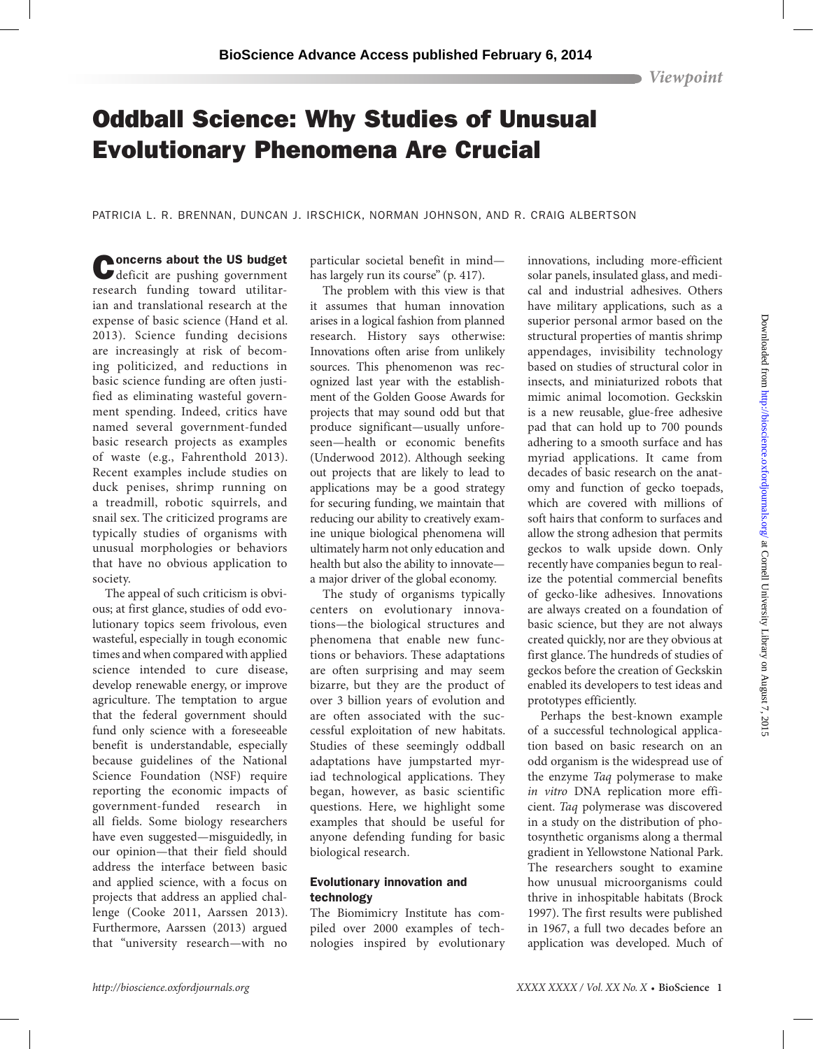*Viewpoint*

# Oddball Science: Why Studies of Unusual Evolutionary Phenomena Are Crucial

PATRICIA L. R. BRENNAN, DUNCAN J. IRSCHICK, NORMAN JOHNSON, AND R. CRAIG ALBERTSON

Concerns about the US budget<br>
deficit are pushing government research funding toward utilitarian and translational research at the expense of basic science (Hand et al. 2013). Science funding decisions are increasingly at risk of becoming politicized, and reductions in basic science funding are often justified as eliminating wasteful government spending. Indeed, critics have named several government-funded basic research projects as examples of waste (e.g., Fahrenthold 2013). Recent examples include studies on duck penises, shrimp running on a treadmill, robotic squirrels, and snail sex. The criticized programs are typically studies of organisms with unusual morphologies or behaviors that have no obvious application to society.

The appeal of such criticism is obvious; at first glance, studies of odd evolutionary topics seem frivolous, even wasteful, especially in tough economic times and when compared with applied science intended to cure disease, develop renewable energy, or improve agriculture. The temptation to argue that the federal government should fund only science with a foreseeable benefit is understandable, especially because guidelines of the National Science Foundation (NSF) require reporting the economic impacts of government-funded research in all fields. Some biology researchers have even suggested—misguidedly, in our opinion—that their field should address the interface between basic and applied science, with a focus on projects that address an applied challenge (Cooke 2011, Aarssen 2013). Furthermore, Aarssen (2013) argued that "university research—with no

particular societal benefit in mind has largely run its course" (p. 417).

The problem with this view is that it assumes that human innovation arises in a logical fashion from planned research. History says otherwise: Innovations often arise from unlikely sources. This phenomenon was recognized last year with the establishment of the Golden Goose Awards for projects that may sound odd but that produce significant—usually unforeseen—health or economic benefits (Underwood 2012). Although seeking out projects that are likely to lead to applications may be a good strategy for securing funding, we maintain that reducing our ability to creatively examine unique biological phenomena will ultimately harm not only education and health but also the ability to innovate a major driver of the global economy.

The study of organisms typically centers on evolutionary innovations—the biological structures and phenomena that enable new functions or behaviors. These adaptations are often surprising and may seem bizarre, but they are the product of over 3 billion years of evolution and are often associated with the successful exploitation of new habitats. Studies of these seemingly oddball adaptations have jumpstarted myriad technological applications. They began, however, as basic scientific questions. Here, we highlight some examples that should be useful for anyone defending funding for basic biological research.

#### Evolutionary innovation and technology

The Biomimicry Institute has compiled over 2000 examples of technologies inspired by evolutionary innovations, including more-efficient solar panels, insulated glass, and medical and industrial adhesives. Others have military applications, such as a superior personal armor based on the structural properties of mantis shrimp appendages, invisibility technology based on studies of structural color in insects, and miniaturized robots that mimic animal locomotion. Geckskin is a new reusable, glue-free adhesive pad that can hold up to 700 pounds adhering to a smooth surface and has myriad applications. It came from decades of basic research on the anatomy and function of gecko toepads, which are covered with millions of soft hairs that conform to surfaces and allow the strong adhesion that permits geckos to walk upside down. Only recently have companies begun to realize the potential commercial benefits of gecko-like adhesives. Innovations are always created on a foundation of basic science, but they are not always created quickly, nor are they obvious at first glance. The hundreds of studies of geckos before the creation of Geckskin enabled its developers to test ideas and prototypes efficiently.

Perhaps the best-known example of a successful technological application based on basic research on an odd organism is the widespread use of the enzyme *Taq* polymerase to make *in vitro* DNA replication more efficient. *Taq* polymerase was discovered in a study on the distribution of photosynthetic organisms along a thermal gradient in Yellowstone National Park. The researchers sought to examine how unusual microorganisms could thrive in inhospitable habitats (Brock 1997). The first results were published in 1967, a full two decades before an application was developed. Much of